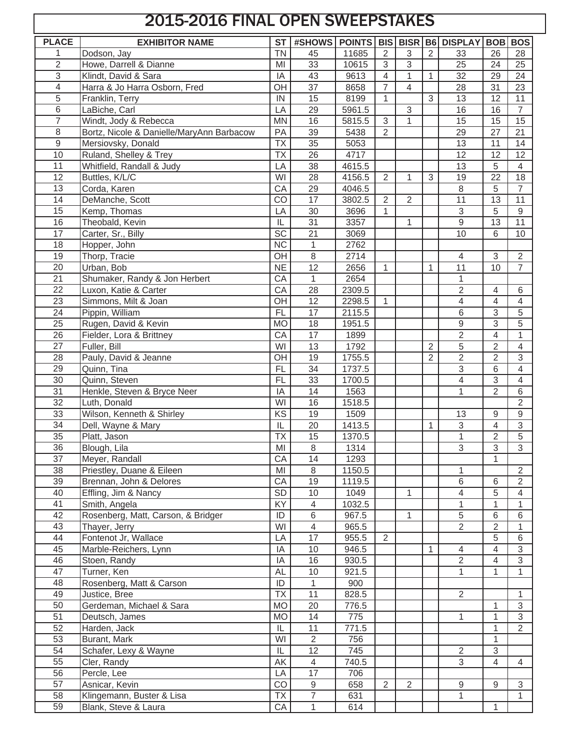## 2015-2016 FINAL OPEN SWEEPSTAKES

| <b>PLACE</b>    | <b>EXHIBITOR NAME</b>                     | <b>ST</b>              |                 |              |                         |              |                | #SHOWS   POINTS   BIS   BISR   B6   DISPLAY   BOB   BOS |                  |                 |
|-----------------|-------------------------------------------|------------------------|-----------------|--------------|-------------------------|--------------|----------------|---------------------------------------------------------|------------------|-----------------|
| 1               | Dodson, Jay                               | <b>TN</b>              | 45              | 11685        | $\overline{2}$          | 3            | $\overline{2}$ | 33                                                      | 26               | 28              |
| $\overline{2}$  | Howe, Darrell & Dianne                    | MI                     | $\overline{33}$ | 10615        | $\overline{3}$          | 3            |                | $\overline{25}$                                         | 24               | $\overline{25}$ |
| 3               | Klindt, David & Sara                      | IA                     | 43              | 9613         | $\overline{\mathbf{4}}$ | $\mathbf{1}$ | $\mathbf{1}$   | $\overline{32}$                                         | 29               | $\overline{24}$ |
| 4               | Harra & Jo Harra Osborn, Fred             | OH                     | 37              | 8658         | $\overline{7}$          | 4            |                | 28                                                      | 31               | 23              |
| 5               | Franklin, Terry                           | IN                     | 15              | 8199         | $\mathbf{1}$            |              | $\mathfrak{Z}$ | 13                                                      | 12               | 11              |
| 6               | LaBiche, Carl                             | LA                     | $\overline{29}$ | 5961.5       |                         | 3            |                | 16                                                      | 16               | $\overline{7}$  |
| 7               | Windt, Jody & Rebecca                     | <b>MN</b>              | 16              | 5815.5       | $\overline{3}$          | 1            |                | 15                                                      | 15               | 15              |
| 8               | Bortz, Nicole & Danielle/MaryAnn Barbacow | PA                     | 39              | 5438         | $\overline{2}$          |              |                | 29                                                      | 27               | 21              |
| 9               | Mersiovsky, Donald                        | <b>Τ</b> Χ             | 35              | 5053         |                         |              |                | 13                                                      | 11               | 14              |
| 10              | Ruland, Shelley & Trey                    | <b>Τ</b> Χ             | 26              | 4717         |                         |              |                | 12                                                      | 12               | 12              |
| 11              | Whitfield, Randall & Judy                 | LA                     | $\overline{38}$ | 4615.5       |                         |              |                | 13                                                      | 5                | 4               |
| 12              | Buttles, K/L/C                            | WI                     | 28              | 4156.5       | $\overline{2}$          | 1            | $\sqrt{3}$     | 19                                                      | 22               | 18              |
| 13              | Corda, Karen                              | CA                     | 29              | 4046.5       |                         |              |                | $\,8\,$                                                 | 5                | $\overline{7}$  |
| 14              | DeManche, Scott                           | CO                     | 17              | 3802.5       | $\overline{2}$          | 2            |                | 11                                                      | 13               | 11              |
| 15              | Kemp, Thomas                              | LA                     | 30              | 3696         | $\mathbf{1}$            |              |                | $\sqrt{3}$                                              | 5                | $9\,$           |
| 16              | Theobald, Kevin                           | $\mathsf{IL}$          | $\overline{31}$ | 3357         |                         | 1            |                | $\overline{9}$                                          | $\overline{13}$  | $\overline{11}$ |
| 17              | Carter, Sr., Billy                        | $\overline{SC}$        | $\overline{21}$ | 3069         |                         |              |                | 10                                                      | 6                | 10              |
| 18              | Hopper, John                              | <b>NC</b>              | $\mathbf{1}$    | 2762         |                         |              |                |                                                         |                  |                 |
| 19              | Thorp, Tracie                             | OH                     | $\,8\,$         | 2714         |                         |              |                | $\overline{4}$                                          | $\sqrt{3}$       | $\overline{2}$  |
| 20              | Urban, Bob                                | N <sub>E</sub>         | $\overline{12}$ | 2656         | $\mathbf{1}$            |              | 1              | $\overline{11}$                                         | $\overline{10}$  | 7               |
| $\overline{21}$ | Shumaker, Randy & Jon Herbert             | CA                     | $\mathbf{1}$    | 2654         |                         |              |                | 1                                                       |                  |                 |
| 22              | Luxon, Katie & Carter                     | CA                     | 28              | 2309.5       |                         |              |                | $\sqrt{2}$                                              | 4                | 6               |
| 23              | Simmons, Milt & Joan                      | OH                     | 12              | 2298.5       | $\mathbf{1}$            |              |                | $\overline{4}$                                          | 4                | 4               |
| 24              | Pippin, William                           | <b>FL</b>              | $\overline{17}$ | 2115.5       |                         |              |                | $\,6\,$                                                 | 3                | 5               |
| 25              | Rugen, David & Kevin                      | <b>MO</b>              | 18              | 1951.5       |                         |              |                | $\boldsymbol{9}$                                        | $\overline{3}$   | 5               |
| 26              | Fielder, Lora & Brittney                  | CA                     | $\overline{17}$ | 1899         |                         |              |                | $\overline{2}$                                          | 4                | 1               |
| 27              | Fuller, Bill                              | WI                     | 13              | 1792         |                         |              | $\overline{2}$ | $\sqrt{5}$                                              | $\overline{2}$   | 4               |
| 28              | Pauly, David & Jeanne                     | OH                     | 19              | 1755.5       |                         |              | $\overline{2}$ | $\overline{2}$                                          | $\overline{2}$   | 3               |
| 29              | Quinn, Tina                               | <b>FL</b>              | $\overline{34}$ | 1737.5       |                         |              |                | $\ensuremath{\mathsf{3}}$                               | 6                | 4               |
| 30              | Quinn, Steven                             | FL                     | 33              | 1700.5       |                         |              |                | 4                                                       | $\overline{3}$   | 4               |
| $\overline{31}$ | Henkle, Steven & Bryce Neer               | IA                     | 14              | 1563         |                         |              |                | $\mathbf{1}$                                            | $\overline{2}$   | 6               |
| $\overline{32}$ | Luth, Donald                              | WI                     | 16              | 1518.5       |                         |              |                |                                                         |                  | $\overline{2}$  |
| $\overline{33}$ | Wilson, Kenneth & Shirley                 | $\overline{\text{KS}}$ | 19              | 1509         |                         |              |                | 13                                                      | $\boldsymbol{9}$ | 9               |
| 34              | Dell, Wayne & Mary                        | IL                     | 20              | 1413.5       |                         |              | $\mathbf{1}$   | $\overline{3}$                                          | 4                | 3               |
| 35              | Platt, Jason                              | <b>TX</b>              | 15              | 1370.5       |                         |              |                | $\mathbf{1}$                                            | 2                | 5               |
| $\overline{36}$ | Blough, Lila                              | MI                     | $\,8\,$         | 1314         |                         |              |                | $\overline{3}$                                          | $\overline{3}$   | $\overline{3}$  |
| 37              | Meyer, Randall                            | CA                     | 14              | 1293         |                         |              |                |                                                         | 1                |                 |
| 38              | Priestley, Duane & Eileen                 | MI                     | 8               | 1150.5       |                         |              |                | $\mathbf{1}$                                            |                  | $\overline{2}$  |
| 39              | Brennan, John & Delores                   | CA                     | 19              | 1119.5       |                         |              |                | 6                                                       | 6                | $\overline{2}$  |
| 40              | Effling, Jim & Nancy                      | SD                     | 10              | 1049         |                         | 1            |                | 4                                                       | 5                | 4               |
| 41              | Smith, Angela                             | KY                     | $\overline{4}$  | 1032.5       |                         |              |                | 1                                                       |                  | 1               |
| 42              | Rosenberg, Matt, Carson, & Bridger        | ID                     | 6               | 967.5        |                         | 1            |                | 5                                                       | 6                | 6               |
| 43              | Thayer, Jerry                             | WI                     | $\overline{4}$  | 965.5        |                         |              |                | $\sqrt{2}$                                              | $\overline{2}$   | 1               |
| 44              | Fontenot Jr, Wallace                      | LA                     | 17              | 955.5        | 2                       |              |                |                                                         | 5                | 6               |
| 45              | Marble-Reichers, Lynn                     | IA                     | 10              | 946.5        |                         |              | $\mathbf{1}$   | 4                                                       | 4                | 3               |
| 46              | Stoen, Randy                              | IA                     | 16              | 930.5        |                         |              |                | $\mathbf{2}$                                            | 4                | 3               |
| 47              | Turner, Ken                               | AL                     | 10              | 921.5        |                         |              |                | 1                                                       | 1                | 1               |
| 48<br>49        | Rosenberg, Matt & Carson                  | ID<br><b>TX</b>        | 1               | 900          |                         |              |                |                                                         |                  |                 |
| 50              | Justice, Bree                             | <b>MO</b>              | 11<br>20        | 828.5        |                         |              |                | $\overline{2}$                                          |                  | 1               |
| 51              | Gerdeman, Michael & Sara                  | M <sub>O</sub>         | 14              | 776.5        |                         |              |                |                                                         | 1<br>1           | 3<br>3          |
| 52              | Deutsch, James<br>Harden, Jack            | IL                     | 11              | 775<br>771.5 |                         |              |                | 1                                                       | 1                | $\overline{2}$  |
| 53              |                                           | WI                     | $\overline{2}$  | 756          |                         |              |                |                                                         | 1                |                 |
| $\overline{54}$ | Burant, Mark<br>Schafer, Lexy & Wayne     | IL                     | 12              | 745          |                         |              |                | $\overline{2}$                                          | 3                |                 |
| 55              | Cler, Randy                               | AK                     | $\overline{4}$  | 740.5        |                         |              |                | $\overline{3}$                                          | $\overline{4}$   | $\overline{4}$  |
| 56              | Percle, Lee                               | LA                     | $\overline{17}$ | 706          |                         |              |                |                                                         |                  |                 |
| 57              | Asnicar, Kevin                            | CO                     | $\overline{9}$  | 658          | $\overline{2}$          | 2            |                | 9                                                       | 9                | 3               |
| 58              | Klingemann, Buster & Lisa                 | TX                     | $\overline{7}$  | 631          |                         |              |                | 1                                                       |                  | 1               |
| 59              | Blank, Steve & Laura                      | CA                     | $\mathbf{1}$    | 614          |                         |              |                |                                                         | 1                |                 |
|                 |                                           |                        |                 |              |                         |              |                |                                                         |                  |                 |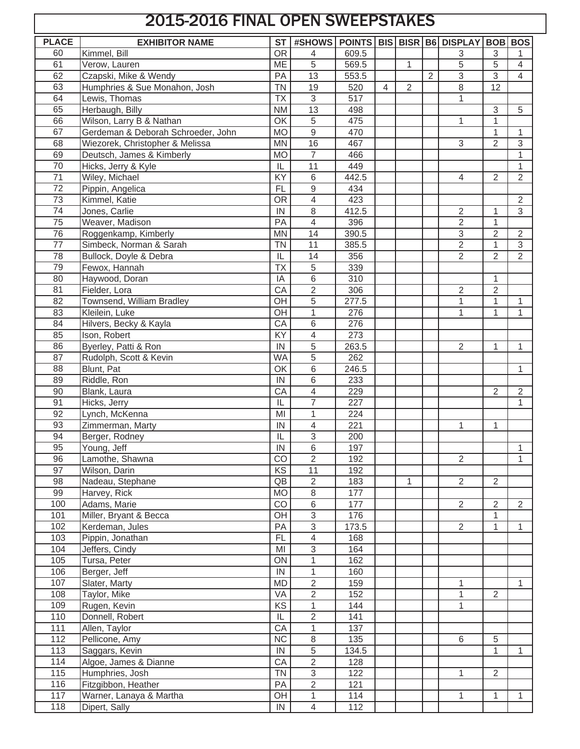## 2015-2016 FINAL OPEN SWEEPSTAKES

| <b>PLACE</b>      | <b>EXHIBITOR NAME</b>              | <b>ST</b>                | #SHOWS                   |       |                |                |                | POINTS   BIS   BISR   B6   DISPLAY |                | <b>BOB BOS</b> |
|-------------------|------------------------------------|--------------------------|--------------------------|-------|----------------|----------------|----------------|------------------------------------|----------------|----------------|
| 60                | Kimmel, Bill                       | $\overline{OR}$          | 4                        | 609.5 |                |                |                | 3                                  | 3              |                |
| 61                | Verow, Lauren                      | ME                       | $\overline{5}$           | 569.5 |                | 1              |                | 5                                  | $\overline{5}$ | 4              |
| 62                | Czapski, Mike & Wendy              | PA                       | $\overline{13}$          | 553.5 |                |                | $\overline{2}$ | $\overline{3}$                     | $\overline{3}$ | 4              |
| 63                | Humphries & Sue Monahon, Josh      | <b>TN</b>                | 19                       | 520   | $\overline{4}$ | $\overline{2}$ |                | 8                                  | 12             |                |
| 64                | Lewis, Thomas                      | <b>TX</b>                | $\overline{3}$           | 517   |                |                |                | 1                                  |                |                |
| 65                | Herbaugh, Billy                    | <b>NM</b>                | $\overline{13}$          | 498   |                |                |                |                                    | $\overline{3}$ | 5              |
| 66                | Wilson, Larry B & Nathan           | OK                       | $\overline{5}$           | 475   |                |                |                | $\mathbf{1}$                       | $\mathbf{1}$   |                |
| 67                | Gerdeman & Deborah Schroeder, John | <b>MO</b>                | $\overline{9}$           | 470   |                |                |                |                                    | $\mathbf{1}$   | $\mathbf{1}$   |
| 68                | Wiezorek, Christopher & Melissa    | <b>MN</b>                | 16                       | 467   |                |                |                | 3                                  | $\overline{2}$ | 3              |
| 69                | Deutsch, James & Kimberly          | <b>MO</b>                | $\overline{7}$           | 466   |                |                |                |                                    |                | 1              |
| 70                | Hicks, Jerry & Kyle                | IL                       | $\overline{11}$          | 449   |                |                |                |                                    |                | $\mathbf{1}$   |
| $\overline{71}$   | Wiley, Michael                     | KY                       | 6                        | 442.5 |                |                |                | $\overline{4}$                     | $\overline{2}$ | $\overline{2}$ |
| $\overline{72}$   | Pippin, Angelica                   | <b>FL</b>                | $\mathsf g$              | 434   |                |                |                |                                    |                |                |
| $\overline{73}$   | Kimmel, Katie                      | <b>OR</b>                | $\overline{4}$           | 423   |                |                |                |                                    |                | $\overline{2}$ |
| $\overline{74}$   | Jones, Carlie                      | IN                       | 8                        | 412.5 |                |                |                | $\overline{2}$                     | $\mathbf{1}$   | $\overline{3}$ |
| 75                | Weaver, Madison                    | PA                       | $\overline{4}$           | 396   |                |                |                | $\overline{2}$                     | $\mathbf{1}$   |                |
| 76                | Roggenkamp, Kimberly               | <b>MN</b>                | $\overline{14}$          | 390.5 |                |                |                | $\overline{3}$                     | $\overline{2}$ | $\overline{2}$ |
| $\overline{77}$   | Simbeck, Norman & Sarah            | <b>TN</b>                | 11                       | 385.5 |                |                |                | $\overline{2}$                     | $\mathbf{1}$   | $\sqrt{3}$     |
| 78                | Bullock, Doyle & Debra             | IL                       | 14                       | 356   |                |                |                | $\overline{2}$                     | $\overline{2}$ | $\overline{2}$ |
| 79                | Fewox, Hannah                      | <b>TX</b>                | 5                        | 339   |                |                |                |                                    |                |                |
| 80                | Haywood, Doran                     | IA                       | 6                        | 310   |                |                |                |                                    | $\mathbf{1}$   |                |
| 81                | Fielder, Lora                      | CA                       | $\overline{2}$           | 306   |                |                |                | $\overline{2}$                     | $\overline{2}$ |                |
| 82                | Townsend, William Bradley          | OH                       | 5                        | 277.5 |                |                |                | 1                                  | $\mathbf{1}$   | 1              |
| 83                | Kleilein, Luke                     | OH                       | 1                        | 276   |                |                |                | 1                                  | $\mathbf{1}$   | 1              |
| 84                | Hilvers, Becky & Kayla             | CA                       | 6                        | 276   |                |                |                |                                    |                |                |
| 85                | Ison, Robert                       | KY                       | 4                        | 273   |                |                |                |                                    |                |                |
| 86                | Byerley, Patti & Ron               | IN                       | 5                        | 263.5 |                |                |                | $\overline{2}$                     | $\mathbf{1}$   | 1              |
| 87                | Rudolph, Scott & Kevin             | <b>WA</b>                | 5                        | 262   |                |                |                |                                    |                |                |
| 88                | Blunt, Pat                         | OK                       | 6                        | 246.5 |                |                |                |                                    |                | 1              |
| 89                | Riddle, Ron                        | IN                       | 6                        | 233   |                |                |                |                                    |                |                |
| 90                | Blank, Laura                       | CA                       | 4                        | 229   |                |                |                |                                    | $\overline{2}$ | $\overline{2}$ |
| $\overline{91}$   | Hicks, Jerry                       | IL                       | $\overline{7}$           | 227   |                |                |                |                                    |                | 1              |
| 92                | Lynch, McKenna                     | MI                       | 1                        | 224   |                |                |                |                                    |                |                |
| 93                | Zimmerman, Marty                   | IN                       | $\overline{4}$           | 221   |                |                |                | 1                                  | 1              |                |
| 94                | Berger, Rodney                     | $\overline{\mathsf{IL}}$ | $\overline{3}$           | 200   |                |                |                |                                    |                |                |
| 95                | Young, Jeff                        | IN                       | 6                        | 197   |                |                |                |                                    |                | 1              |
| 96                | Lamothe, Shawna                    | CO                       | $\overline{2}$           | 192   |                |                |                | $\overline{2}$                     |                | 1              |
| 97                | Wilson, Darin                      | KS                       | 11                       | 192   |                |                |                |                                    |                |                |
| 98                | Nadeau, Stephane                   | QB                       | $\overline{2}$           | 183   |                | 1              |                | $\overline{2}$                     | $\overline{2}$ |                |
| 99                | Harvey, Rick                       | <b>MO</b>                | 8                        | 177   |                |                |                |                                    |                |                |
| 100               | Adams, Marie                       | CO                       | 6                        | 177   |                |                |                | $\overline{2}$                     | $\overline{2}$ | $\overline{2}$ |
| 101               | Miller, Bryant & Becca             | OH                       | $\overline{3}$           | 176   |                |                |                |                                    | $\mathbf{1}$   |                |
| 102               | Kerdeman, Jules                    | PA                       | $\overline{3}$           | 173.5 |                |                |                | $\overline{2}$                     | 1              | 1              |
| 103               | Pippin, Jonathan                   | <b>FL</b>                | $\overline{\mathcal{A}}$ | 168   |                |                |                |                                    |                |                |
| 104               | Jeffers, Cindy                     | MI                       | $\sqrt{3}$               | 164   |                |                |                |                                    |                |                |
| 105               | Tursa, Peter                       | ON                       | $\mathbf{1}$             | 162   |                |                |                |                                    |                |                |
| 106               | Berger, Jeff                       | IN                       | $\mathbf{1}$             | 160   |                |                |                |                                    |                |                |
| 107               | Slater, Marty                      | <b>MD</b>                | $\overline{2}$           | 159   |                |                |                | 1                                  |                | $\mathbf{1}$   |
| 108               | Taylor, Mike                       | VA                       | $\overline{2}$           | 152   |                |                |                | 1                                  | 2              |                |
| 109               | Rugen, Kevin                       | KS                       | $\mathbf{1}$             | 144   |                |                |                | 1                                  |                |                |
| 110               | Donnell, Robert                    | IL                       | $\overline{2}$           | 141   |                |                |                |                                    |                |                |
| 111               | Allen, Taylor                      | CA                       | $\mathbf{1}$             | 137   |                |                |                |                                    |                |                |
| $\frac{112}{112}$ | Pellicone, Amy                     | $\overline{\text{NC}}$   | $\,8\,$                  | 135   |                |                |                | 6                                  | 5              |                |
| 113               | Saggars, Kevin                     | IN                       | $\sqrt{5}$               | 134.5 |                |                |                |                                    | $\mathbf{1}$   | 1              |
| 114               | Algoe, James & Dianne              | CA                       | $\overline{2}$           | 128   |                |                |                |                                    |                |                |
| 115               | Humphries, Josh                    | <b>TN</b>                | $\overline{3}$           | 122   |                |                |                | 1                                  | 2              |                |
| 116               | Fitzgibbon, Heather                | PA                       | $\overline{2}$           | 121   |                |                |                |                                    |                |                |
| 117               | Warner, Lanaya & Martha            | OH                       | $\mathbf{1}$             | 114   |                |                |                | 1                                  | $\mathbf{1}$   | 1              |
| 118               | Dipert, Sally                      | ${\sf IN}$               | $\overline{4}$           | 112   |                |                |                |                                    |                |                |
|                   |                                    |                          |                          |       |                |                |                |                                    |                |                |